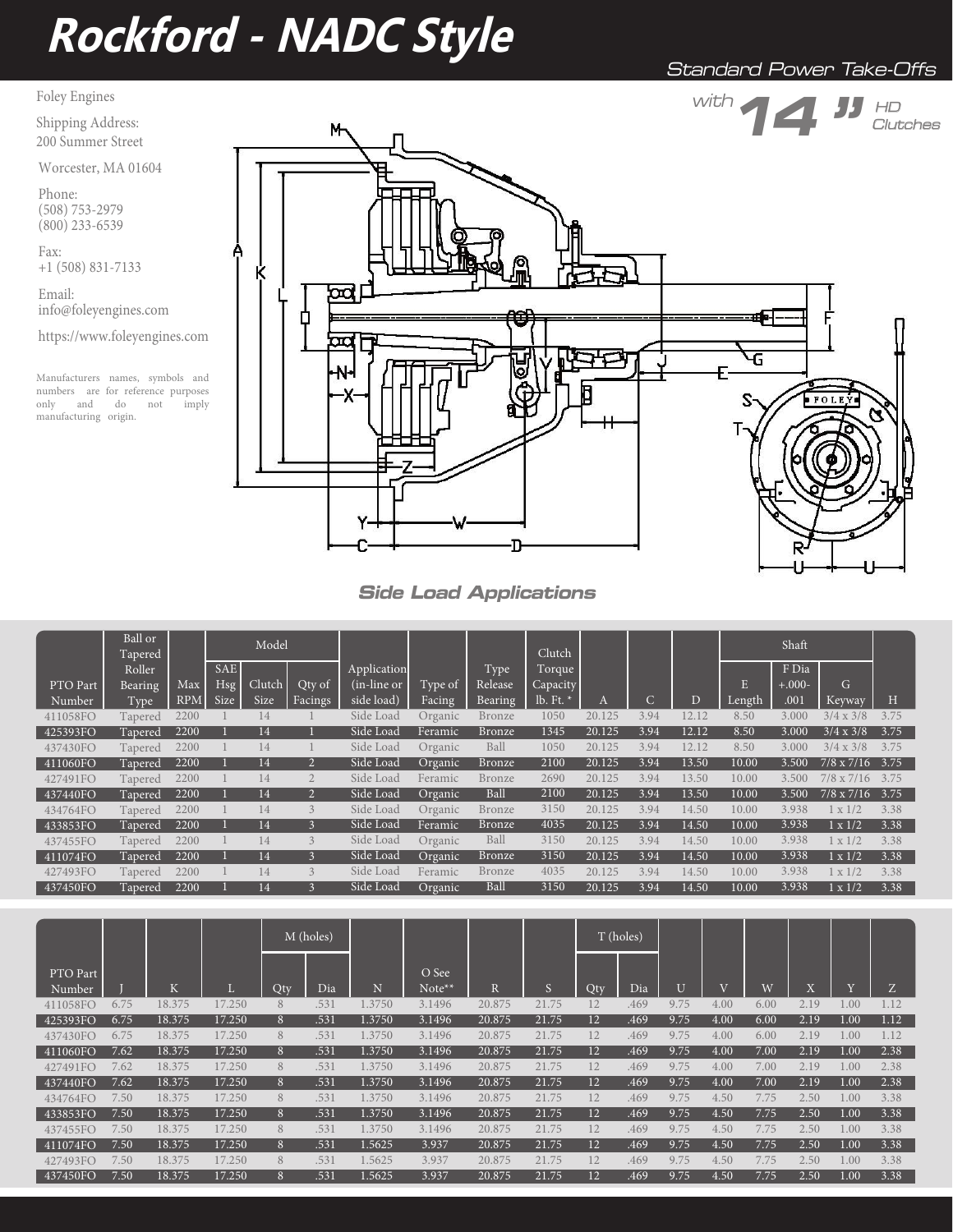# **Rockford - NADC Style**

Standard Power Take-Offs

Foley Engines

Shipping Address:

200 Summer Street Worcester, MA 01604

Phone: (508) 753-2979 (800) 233-6539

Fax: +1 (508) 831-7133

Email: info@foleyengines.com

https://www.foleyengines.com

Manufacturers names, symbols and numbers are for reference purposes<br>only and do not imply only and do not manufacturing origin.



**Side Load Applications**

|                      | Ball or<br>Tapered |            |            | Model  |                          |                |         |         | Clutch   |        |      |       |        | Shaft    |                   |      |
|----------------------|--------------------|------------|------------|--------|--------------------------|----------------|---------|---------|----------|--------|------|-------|--------|----------|-------------------|------|
|                      | Roller             |            | <b>SAE</b> |        |                          | Application    |         | Type    | Torque   |        |      |       |        | F Dia    |                   |      |
| PTO Part             | Bearing            | Max        | <b>Hsg</b> | Clutch | Qty of                   | $(in-line or)$ | Type of | Release | Capacity |        |      |       |        | $+.000-$ | G                 |      |
| Number               | Type               | <b>RPM</b> | Size       | Size   | <b>Facings</b>           | side load)     | Facing  | Bearing | lb. Ft.  | A      | C    | D     | Length | .001     | Keyway            | H    |
| 411058FO             | Tapered            | 2200       |            | 14     |                          | Side Load      | Organic | Bronze  | 1050     | 20.125 | 3.94 | 12.12 | 8.50   | 3.000    | $3/4 \times 3/8$  | 3.75 |
| 425393FO             | Tapered            | 2200       |            | 14     |                          | Side Load      | Feramic | Bronze  | 1345     | 20.125 | 3.94 | 12.12 | 8.50   | 3.000    | $3/4 \times 3/8$  | 3.75 |
| 437430FO             | Tapered            | 2200       |            | 14     |                          | Side Load      | Organic | Ball    | 1050     | 20.125 | 3.94 | 12.12 | 8.50   | 3.000    | $3/4 \times 3/8$  | 3.75 |
| 411060FO             | Tapered            | 2200       |            | 14     |                          | Side Load      | Organic | Bronze  | 2100     | 20.125 | 3.94 | 13.50 | 10.00  | 3.500    | $7/8 \times 7/16$ | 3.75 |
| 427491FO             | Tapered            | 2200       |            | 14     |                          | Side Load      | Feramic | Bronze  | 2690     | 20.125 | 3.94 | 13.50 | 10.00  | 3.500    | $7/8 \times 7/16$ | 3.75 |
| 437440FO             | Tapered            | 2200       |            | 14     |                          | Side Load      | Organic | Ball    | 2100     | 20.125 | 3.94 | 13.50 | 10.00  | 3.500    | $7/8 \times 7/16$ | 3.75 |
| 434764FO             | Tapered            | 2200       |            | 14     | $\overline{\mathcal{E}}$ | Side Load      | Organic | Bronze  | 3150     | 20.125 | 3.94 | 14.50 | 10.00  | 3.938    | x 1/2             | 3.38 |
| 433853FO             | Tapered            | 2200       |            | 14     |                          | Side Load      | Feramic | Bronze  | 4035     | 20.125 | 3.94 | 14.50 | 10.00  | 3.938    | $1 \times 1/2$    | 3.38 |
| 437455FO             | Tapered            | 2200       |            | 14     | 3                        | Side Load      | Organic | Ball    | 3150     | 20.125 | 3.94 | 14.50 | 10.00  | 3.938    | x 1/2             | 3.38 |
| 411074F <sub>O</sub> | Tapered            | 2200       |            | 14     | ß                        | Side Load      | Organic | Bronze  | 3150     | 20.125 | 3.94 | 14.50 | 10.00  | 3.938    | $1 \times 1/2$    | 3.38 |
| 427493FO             | Tapered            | 2200       |            | 14     | 3                        | Side Load      | Feramic | Bronze  | 4035     | 20.125 | 3.94 | 14.50 | 10.00  | 3.938    | $1 \times 1/2$    | 3.38 |
| 437450FO             | Tapered            | 2200       |            | 14     |                          | Side Load      | Organic | Ball    | 3150     | 20.125 | 3.94 | 14.50 | 10.00  | 3.938    | $1 \times 1/2$    | 3.38 |

|                    |      |        |        |      | M (holes) |        |                 |            |       | T (holes)         |      |      |                |      |      |                |      |
|--------------------|------|--------|--------|------|-----------|--------|-----------------|------------|-------|-------------------|------|------|----------------|------|------|----------------|------|
| PTO Part<br>Number |      | K      | ш      | Qty. | Dia       | N      | O See<br>Note** | $_{\rm R}$ | S     | Qty               | Dia  | U    | $\overline{I}$ | W    | W    | $\overline{X}$ | Z    |
| 411058FO           | 6.75 | 18.375 | 17.250 | 8    | .531      | 1.3750 | 3.1496          | 20.875     | 21.75 | 12                | .469 | 9.75 | 4.00           | 6.00 | 2.19 | 0.01           |      |
| 425393FO           | 6.75 | 18.375 | 17.250 | 8    | .531      | 1.3750 | 3.1496          | 20.875     | 21.75 | 12                | .469 | 9.75 | 4.00           | 6.00 | 2.19 | 1.00           | 1.12 |
| 437430FO           | 6.75 | 18.375 | 17.250 | 8    | .531      | 1.3750 | 3.1496          | 20.875     | 21.75 | 12                | .469 | 9.75 | 4.00           | 6.00 | 2.19 | 1.00           | 1.12 |
| 411060FO           | 7.62 | 18.375 | 17.250 | 8    | .531      | 1.3750 | 3.1496          | 20.875     | 21.75 | 12                | .469 | 9.75 | 4.00           | 7.00 | 2.19 | 1.00           | 2.38 |
| 427491FO           | 7.62 | 18.375 | 17.250 | 8    | .531      | 1.3750 | 3.1496          | 20.875     | 21.75 | 12                | .469 | 9.75 | 4.00           | 7.00 | 2.19 | 1.00           | 2.38 |
| 437440FO           | 7.62 | 18.375 | 17.250 | 8    | .531      | 1.3750 | 3.1496          | 20.875     | 21.75 | 12                | .469 | 9.75 | 4.00           | 7.00 | 2.19 | 1.00           | 2.38 |
| 434764FO           | 7.50 | 18.375 | 17.250 | 8    | .531      | 1.3750 | 3.1496          | 20.875     | 21.75 | 12                | .469 | 9.75 | 4.50           | 7.75 | 2.50 | 0.01           | 3.38 |
| 433853FO           | 7.50 | 18.375 | 17.250 | 8    | .531      | 1.3750 | 3.1496          | 20.875     | 21.75 | 12                | .469 | 9.75 | 4.50           | 7.75 | 2.50 | 1.00           | 3.38 |
| 437455FO           | 7.50 | 18.375 | 17.250 | 8    | .531      | 1.3750 | 3.1496          | 20.875     | 21.75 | 12                | .469 | 9.75 | 4.50           | 7.75 | 2.50 | 1.00           | 3.38 |
| 411074FO           | 7.50 | 18.375 | 17.250 | 8    | .531      | 1.5625 | 3.937           | 20.875     | 21.75 | 12                | .469 | 9.75 | 4.50           | 7.75 | 2.50 | 1.00           | 3.38 |
| 427493FO           | 7.50 | 18.375 | 17.250 | 8    | .531      | 1.5625 | 3.937           | 20.875     | 21.75 | $12 \overline{ }$ | .469 | 9.75 | 4.50           | 7.75 | 2.50 | 1.00           | 3.38 |
| 437450FO           | 7.50 | 18.375 | 17.250 | 8    | .531      | 1.5625 | 3.937           | 20.875     | 21.75 | 12                | .469 | 9.75 | 4.50           | 7.75 | 2.50 | 1.00           | 3.38 |